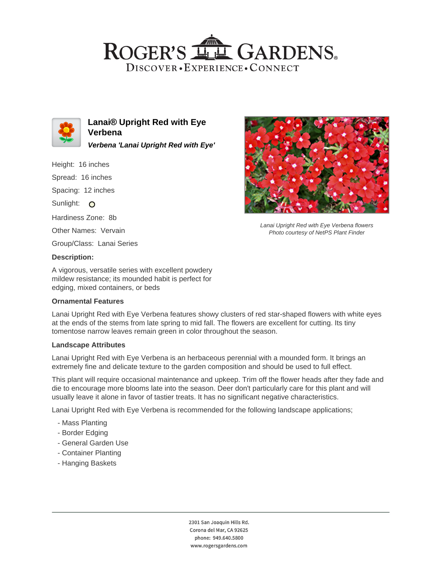## ROGER'S LL GARDENS. DISCOVER · EXPERIENCE · CONNECT



**Lanai® Upright Red with Eye Verbena Verbena 'Lanai Upright Red with Eye'**

Height: 16 inches

Spread: 16 inches

Spacing: 12 inches

Sunlight: O

Hardiness Zone: 8b

Other Names: Vervain

Group/Class: Lanai Series

## **Description:**

A vigorous, versatile series with excellent powdery mildew resistance; its mounded habit is perfect for edging, mixed containers, or beds

## **Ornamental Features**

Lanai Upright Red with Eye Verbena features showy clusters of red star-shaped flowers with white eyes at the ends of the stems from late spring to mid fall. The flowers are excellent for cutting. Its tiny tomentose narrow leaves remain green in color throughout the season.

#### **Landscape Attributes**

Lanai Upright Red with Eye Verbena is an herbaceous perennial with a mounded form. It brings an extremely fine and delicate texture to the garden composition and should be used to full effect.

This plant will require occasional maintenance and upkeep. Trim off the flower heads after they fade and die to encourage more blooms late into the season. Deer don't particularly care for this plant and will usually leave it alone in favor of tastier treats. It has no significant negative characteristics.

Lanai Upright Red with Eye Verbena is recommended for the following landscape applications;

- Mass Planting
- Border Edging
- General Garden Use
- Container Planting
- Hanging Baskets



Lanai Upright Red with Eye Verbena flowers Photo courtesy of NetPS Plant Finder

2301 San Joaquin Hills Rd. Corona del Mar, CA 92625 phone: 949.640.5800 www.rogersgardens.com